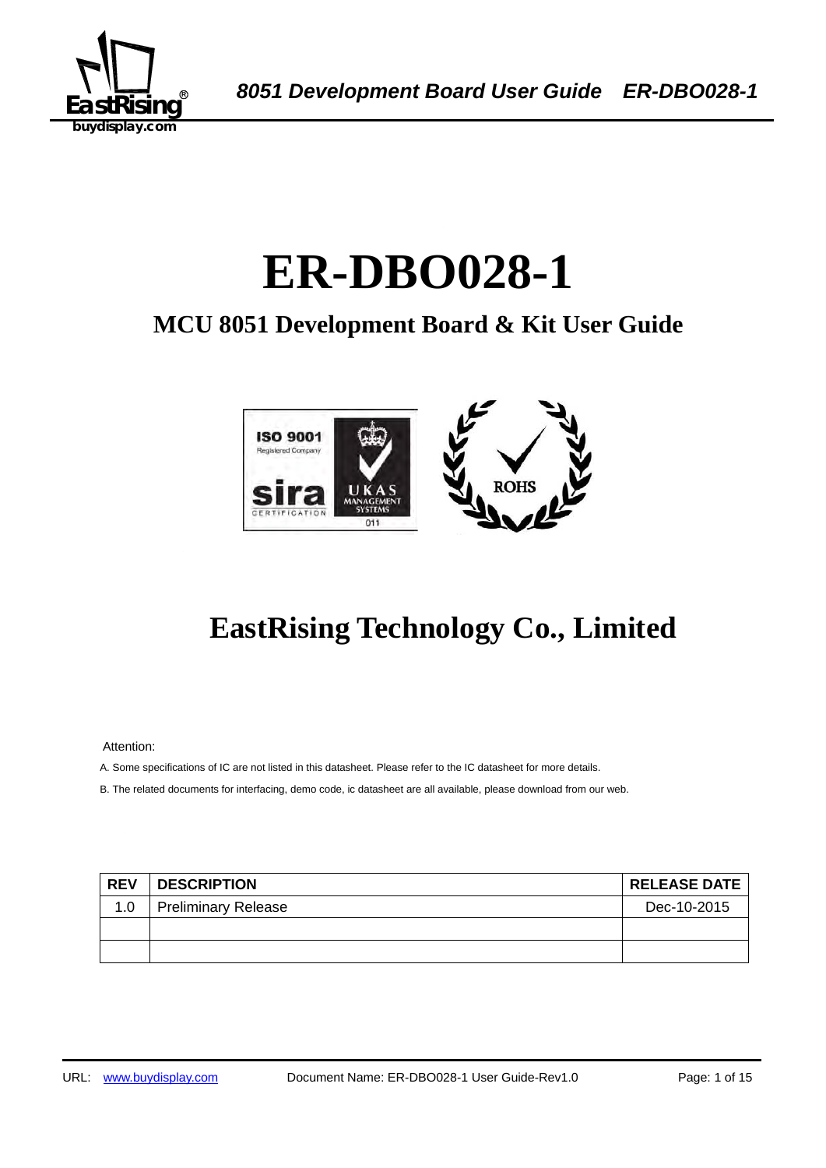

# ER-DBO028-1

## **MCU 8051 Development Board & Kit User Guide**



## **EastRising Technology Co., Limited**

Attention:

A. Some specifications of IC are not listed in this datasheet. Please refer to the IC datasheet for more details.

B. The related documents for interfacing, demo code, ic datasheet are all available, please download from our web.

| <b>REV</b> | <b>DESCRIPTION</b>         | <b>RELEASE DATE</b> |
|------------|----------------------------|---------------------|
| 1.0        | <b>Preliminary Release</b> | Dec-10-2015         |
|            |                            |                     |
|            |                            |                     |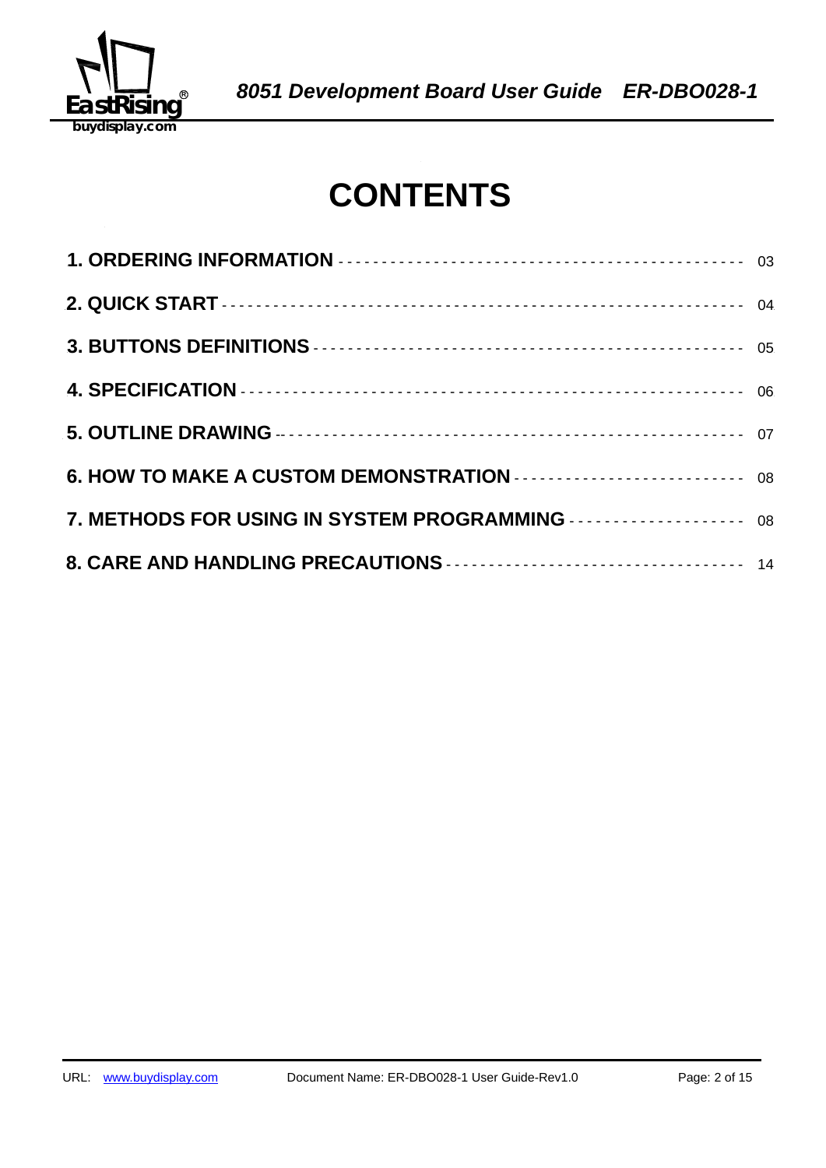

## **CONTENTS**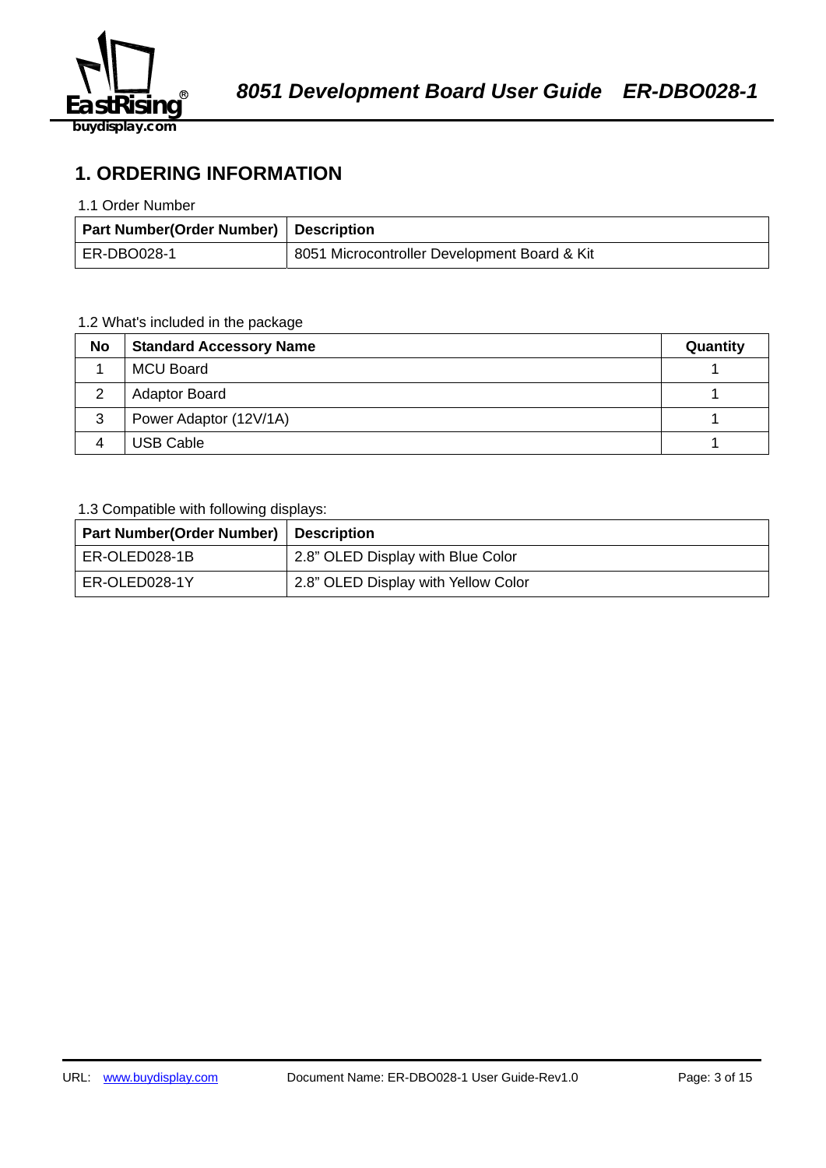

## **1. ORDERING INFORMATION**

#### 1.1 Order Number

| Part Number(Order Number) Description |                                              |
|---------------------------------------|----------------------------------------------|
| ER-DBO028-1                           | 8051 Microcontroller Development Board & Kit |

## 1.2 What's included in the package

| <b>No</b> | <b>Standard Accessory Name</b> | Quantity |
|-----------|--------------------------------|----------|
|           | <b>MCU Board</b>               |          |
|           | <b>Adaptor Board</b>           |          |
| 3         | Power Adaptor (12V/1A)         |          |
|           | <b>USB Cable</b>               |          |

## 1.3 Compatible with following displays:

| <b>Part Number(Order Number)   Description</b> |                                     |
|------------------------------------------------|-------------------------------------|
| ER-OLED028-1B                                  | 2.8" OLED Display with Blue Color   |
| ER-OLED028-1Y                                  | 2.8" OLED Display with Yellow Color |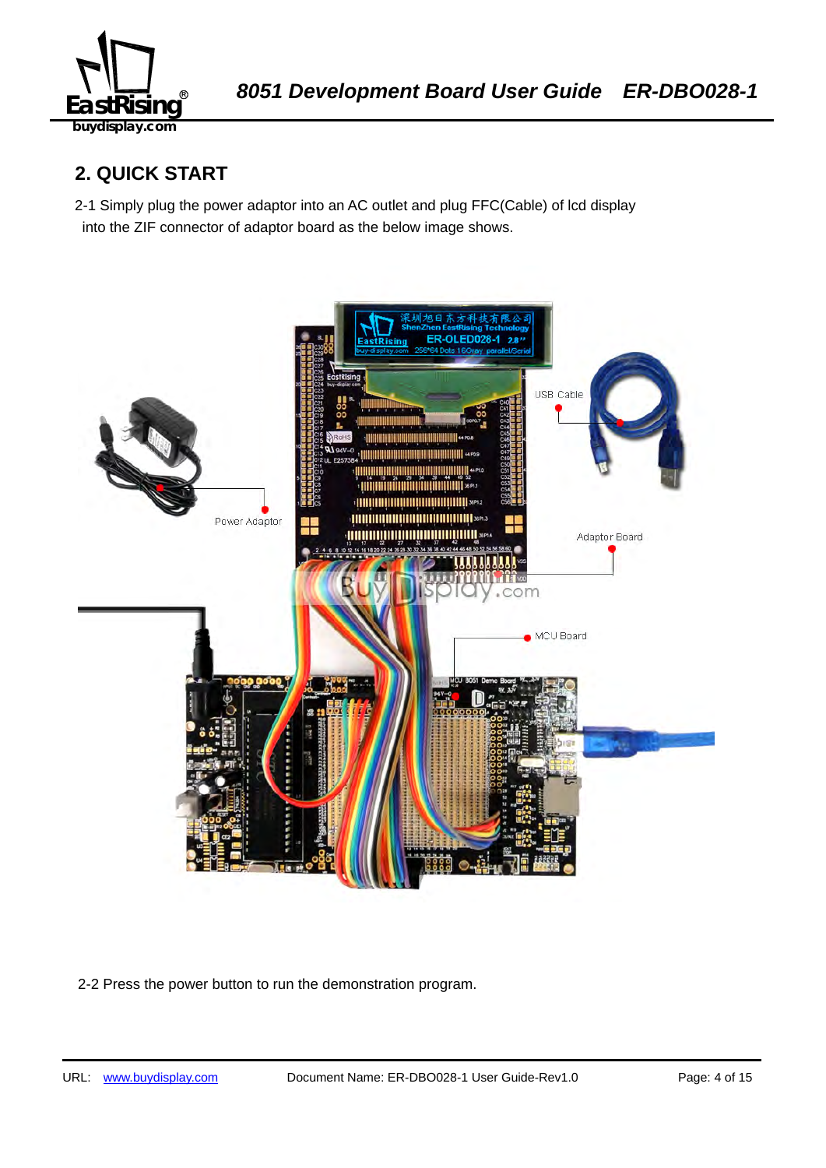

## **2. QUICK START**

2-1 Simply plug the power adaptor into an AC outlet and plug FFC(Cable) of lcd display into the ZIF connector of adaptor board as the below image shows.



2-2 Press the power button to run the demonstration program.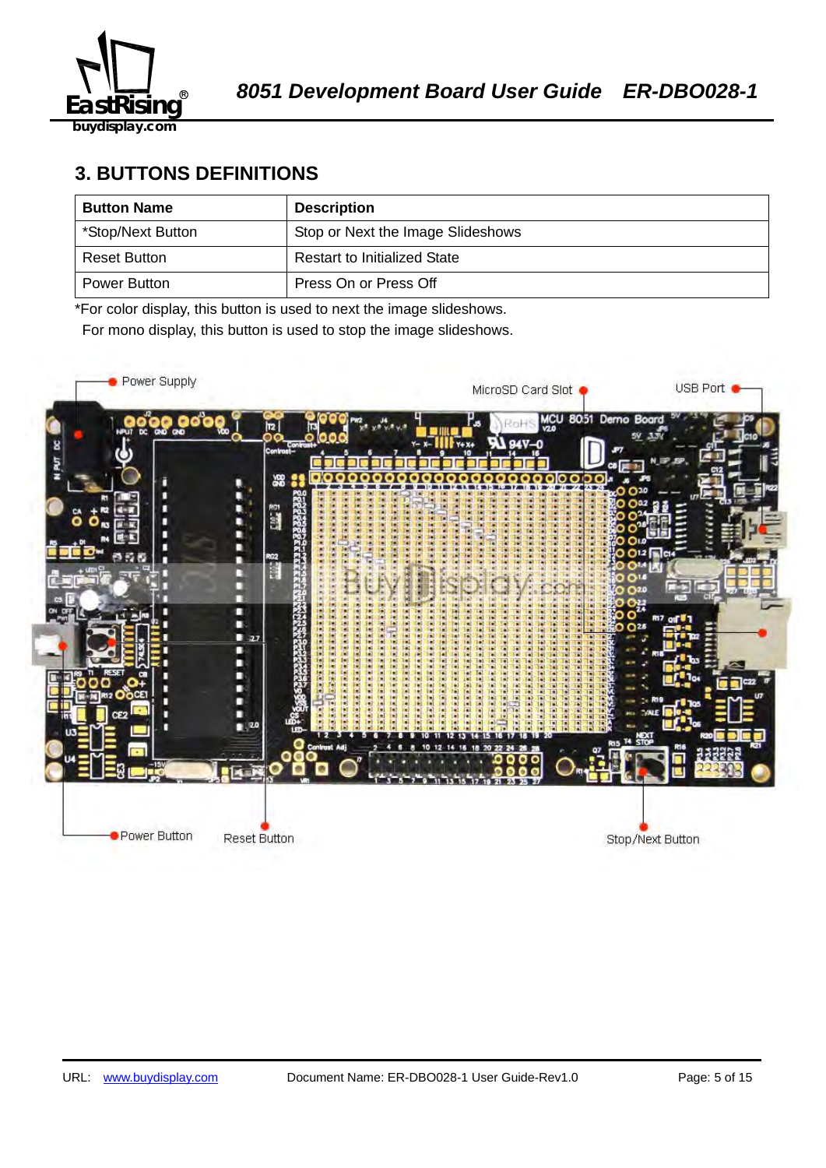![](_page_4_Picture_0.jpeg)

## **3. BUTTONS DEFINITIONS**

| <b>Button Name</b>  | <b>Description</b>                  |
|---------------------|-------------------------------------|
| *Stop/Next Button   | Stop or Next the Image Slideshows   |
| <b>Reset Button</b> | <b>Restart to Initialized State</b> |
| Power Button        | Press On or Press Off               |

\*For color display, this button is used to next the image slideshows.

For mono display, this button is used to stop the image slideshows.

![](_page_4_Picture_7.jpeg)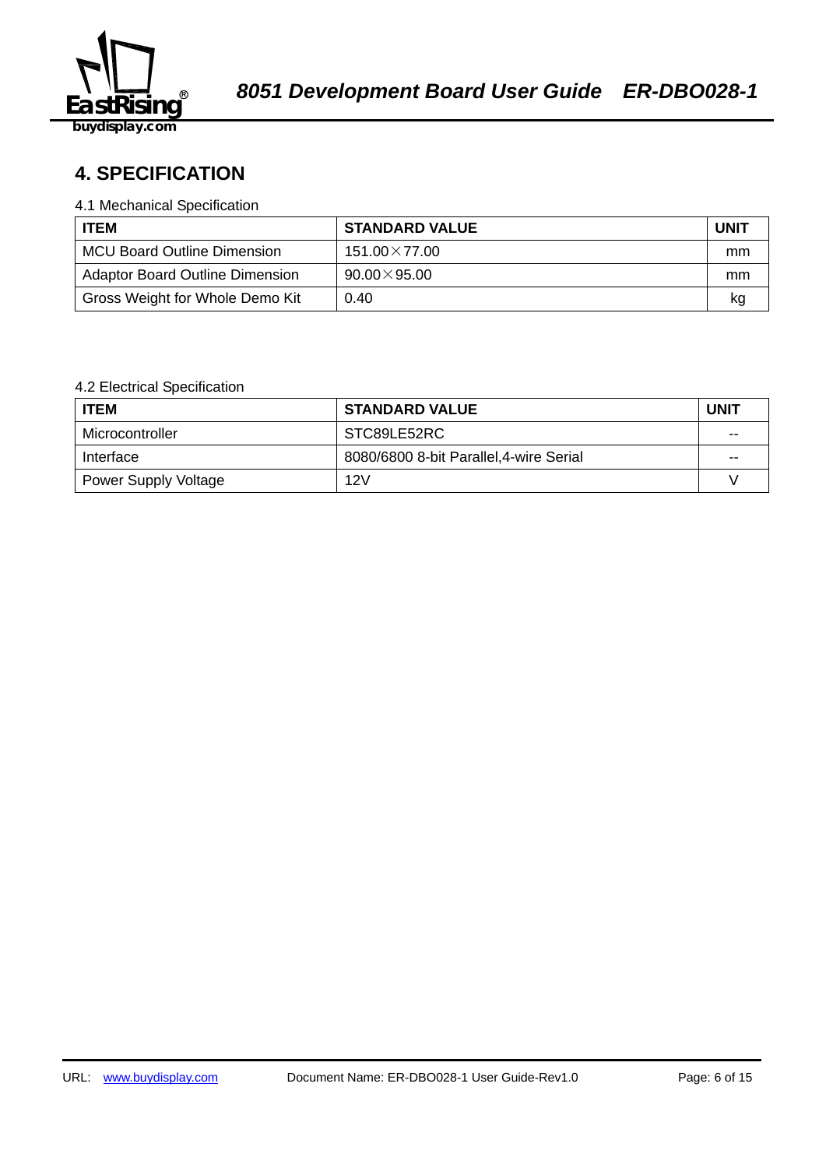![](_page_5_Picture_0.jpeg)

## 58B2140359**4. SPECIFICATION**

#### 4.1 Mechanical Specification

| <b>ITEM</b>                            | <b>STANDARD VALUE</b> | <b>UNIT</b> |
|----------------------------------------|-----------------------|-------------|
| <b>MCU Board Outline Dimension</b>     | $151.00\times77.00$   | mm          |
| <b>Adaptor Board Outline Dimension</b> | $90.00\times95.00$    | mm          |
| Gross Weight for Whole Demo Kit        | 0.40                  | kq          |

## 4.2 Electrical Specification

| <b>ITEM</b>                 | <b>STANDARD VALUE</b>                   | <b>UNIT</b> |
|-----------------------------|-----------------------------------------|-------------|
| Microcontroller             | STC89LE52RC                             | $-$         |
| Interface                   | 8080/6800 8-bit Parallel, 4-wire Serial | $- -$       |
| <b>Power Supply Voltage</b> | 12V                                     |             |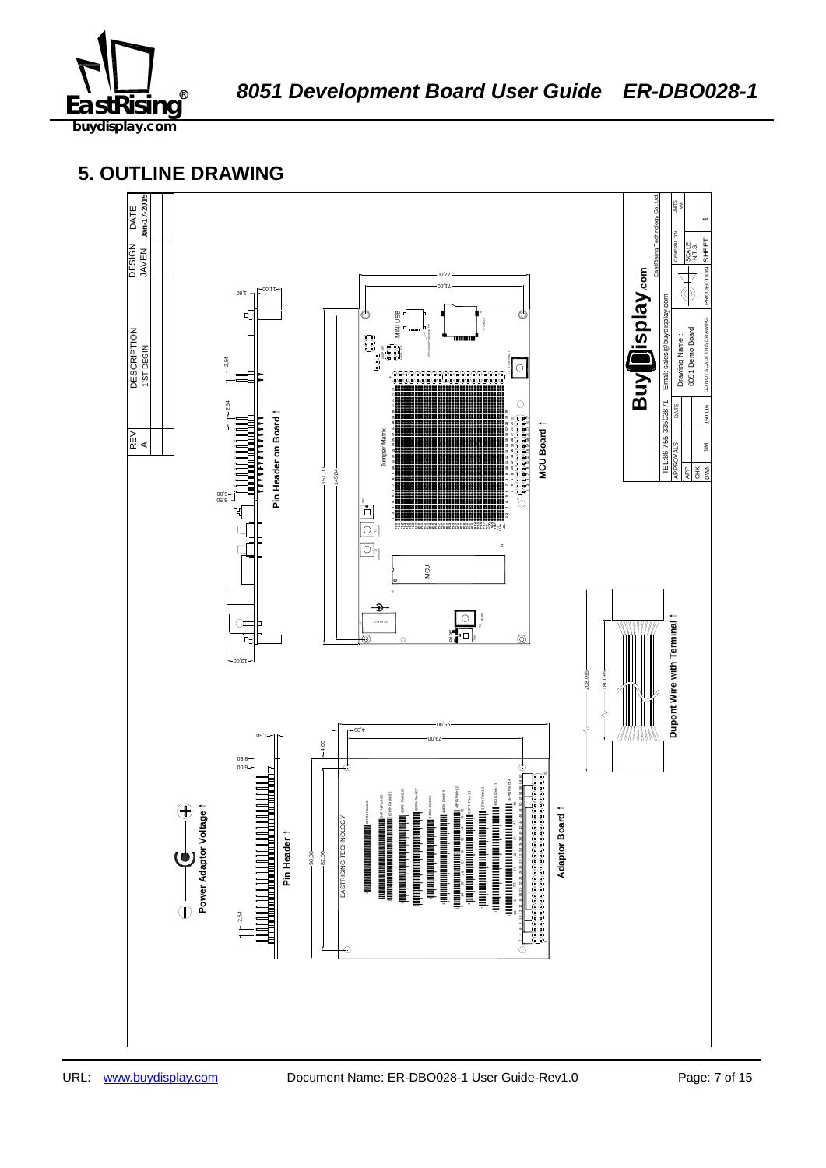![](_page_6_Picture_0.jpeg)

## **5. OUTLINE DRAWING**

![](_page_6_Figure_4.jpeg)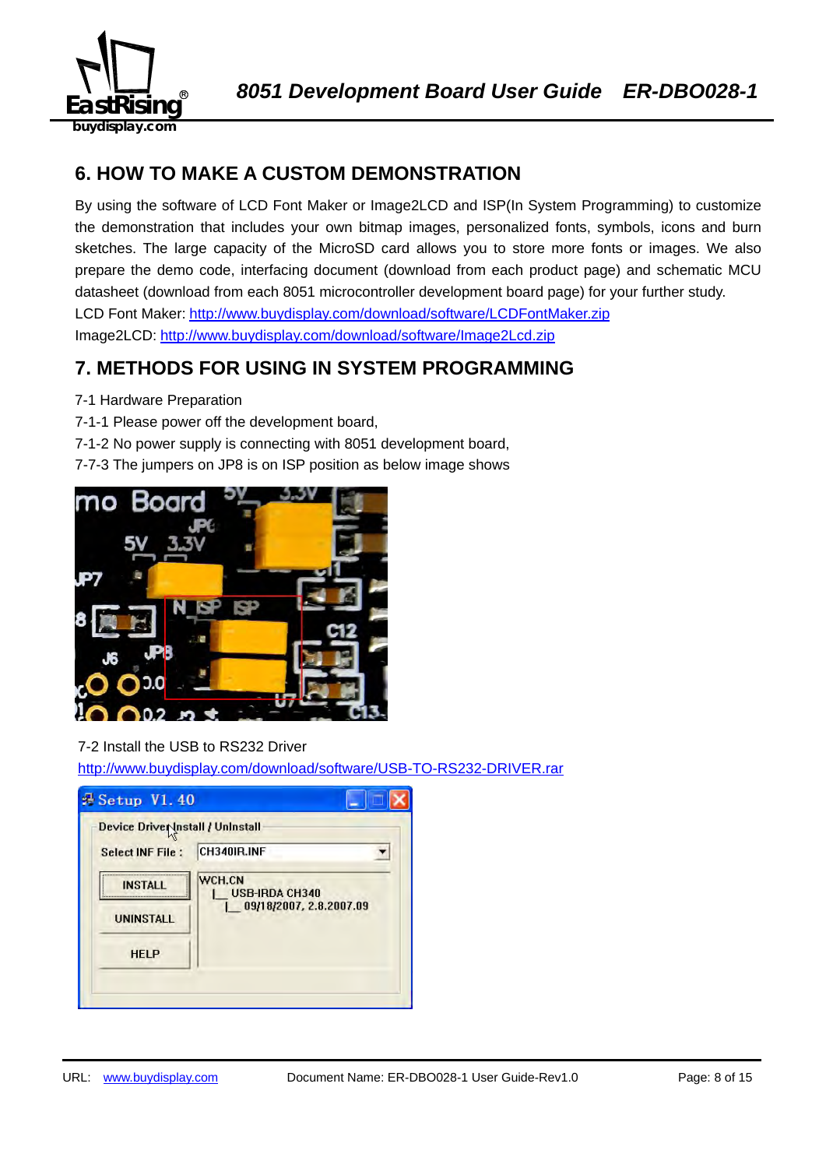![](_page_7_Picture_0.jpeg)

## **6. HOW TO MAKE A CUSTOM DEMONSTRATION**

By using the software of LCD Font Maker or Image2LCD and ISP(In System Programming) to customize the demonstration that includes your own bitmap images, personalized fonts, symbols, icons and burn sketches. The large capacity of the MicroSD card allows you to store more fonts or images. We also prepare the demo code, interfacing document (download from each product page) and schematic MCU datasheet (download from each 8051 microcontroller development board page) for your further study. LCD Font Maker: http://www.buydisplay.com/download/software/LCDFontMaker.zip Image2LCD: http://www.buydisplay.com/download/software/Image2Lcd.zip

## **7. METHODS FOR USING IN SYSTEM PROGRAMMING**

- 7-1 Hardware Preparation
- 7-1-1 Please power off the development board,
- 7-1-2 No power supply is connecting with 8051 development board,
- 7-7-3 The jumpers on JP8 is on ISP position as below image shows

![](_page_7_Picture_9.jpeg)

## 7-2 Install the USB to RS232 Driver

http://www.buydisplay.com/download/software/USB-TO-RS232-DRIVER.rar

| Device Driver Install / Uninstall |                                 |
|-----------------------------------|---------------------------------|
| <b>Select INF File:</b>           | CH340IR.INF                     |
| <b>INSTALL</b>                    | WCH.CN<br><b>USB-IRDA CH340</b> |
| <b>UNINSTALL</b>                  | 09/18/2007, 2.8.2007.09         |
| <b>HELP</b>                       |                                 |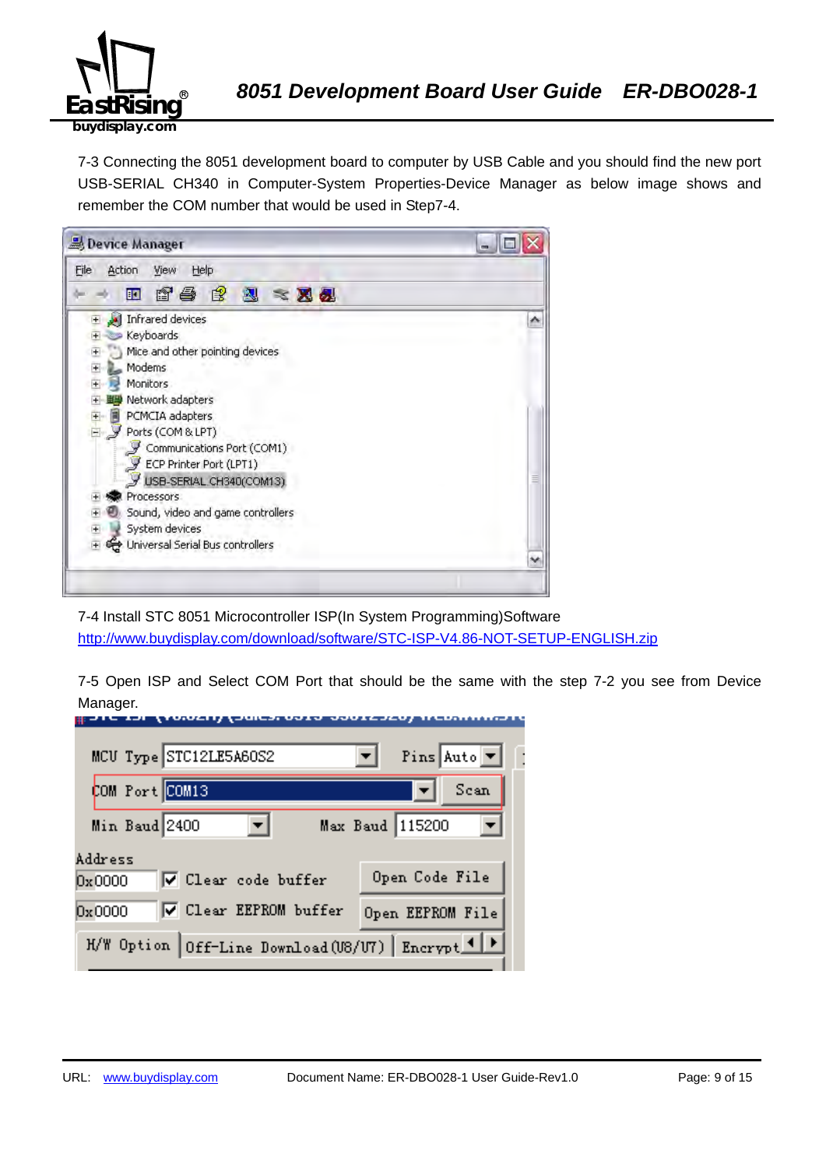![](_page_8_Picture_0.jpeg)

7-3 Connecting the 8051 development board to computer by USB Cable and you should find the new port USB-SERIAL CH340 in Computer-System Properties-Device Manager as below image shows and remember the COM number that would be used in Step7-4.

![](_page_8_Picture_4.jpeg)

7-4 Install STC 8051 Microcontroller ISP(In System Programming)Software http://www.buydisplay.com/download/software/STC-ISP-V4.86-NOT-SETUP-ENGLISH.zip

7-5 Open ISP and Select COM Port that should be the same with the step 7-2 you see from Device Manager.

| MCU Type STC12LE5A60S2                             | Pins Auto $\boxed{\mathbf{v}}$ |
|----------------------------------------------------|--------------------------------|
| COM Port COM13                                     | Scan                           |
| Min Baud 2400                                      | Max Baud 115200                |
| Address<br>V Clear code buffer<br>0x0000           | Open Code File                 |
| <b>▽</b> Clear EEPROM buffer<br>0x0000             | Open EEPROM File               |
| H/W Option Off-Line Download (U8/U7) Encrypt 1   > |                                |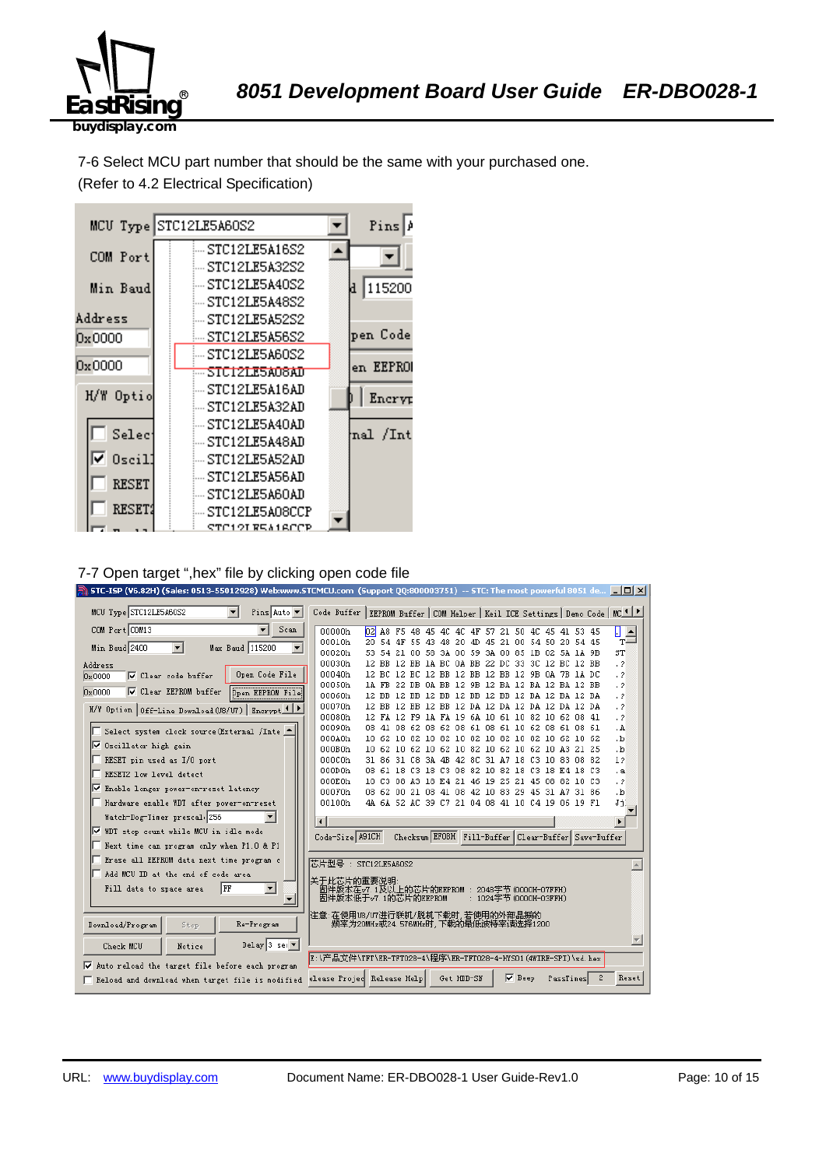![](_page_9_Picture_0.jpeg)

7-6 Select MCU part number that should be the same with your purchased one. (Refer to 4.2 Electrical Specification)

![](_page_9_Figure_3.jpeg)

#### 7-7 Open target ",hex" file by clicking open code file

|                                                                                  | STC-ISP (V6.82H) (Sales: 0513-55012928) Web:www.STCMCU.com (Support 00:800003751) -- STC: The most powerful 8051 de $\Box$ $\Box$ $\times$ |                                   |
|----------------------------------------------------------------------------------|--------------------------------------------------------------------------------------------------------------------------------------------|-----------------------------------|
| MCU Type STC12LE5A60S2<br>$\blacksquare$<br>Pins Auto $\blacktriangledown$       | Code Buffer   EEPROM Buffer   COM Helper   Keil ICE Settings   Demo Code   MC 4   F                                                        |                                   |
| COM Port COM13<br>Scan                                                           | 00000h<br>$b^2$<br>A8 F5 48 45 4C 4C 4F 57 21 50 4C 45 41 53 45                                                                            | П<br>$\frac{1}{T}$                |
| Min Baud 2400<br>Max Baud 115200<br>$\blacktriangledown$<br>$\blacktriangledown$ | 00010h<br>20 54 4F 55 43 48 20 4D<br>45 21 00 54 50 20 54 45                                                                               |                                   |
|                                                                                  | 00020h<br>21 00 58 3A 00 59 3A 00 85 1B 02 5A 1A 9B<br>53.<br>54                                                                           | ST                                |
| Address                                                                          | 00030h<br>12 BB 1A BC 0A BB 22 DC 33 3C 12 BC 12 BB<br>12 BB                                                                               | $\cdot$ 2                         |
| Open Code File<br>$\nabla$ Clear code buffer<br>0x0000                           | 12 BC 12 BC 12 BB 12 BB 12 BB 12 9B 0A 7B 1A DC<br>00040h<br>1A FB 22 DB 0A BB 12 9B 12 BA 12 BA 12 BA 12 BB<br>00050h                     | $\cdot$ ?<br>$\cdot$ 2            |
| <b>▽</b> Clear EEPROM buffer<br><b>Open EEPROM File</b><br>$0 \times 0000$       | 12 BB 12 BB 12 BB 12 BB 12 BB 12 BA 12 BA 12 BA<br>00060h                                                                                  | $\cdot$ ?                         |
|                                                                                  | 00070h<br>12 BB 12 BB 12 BB 12 DA 12 DA 12 DA 12 DA 12 DA                                                                                  | $\cdot$ ?                         |
| H/W Option   Off-Line Download (U8/U7)   Encrypt 1   P                           | 00080h<br>12 FA 12 F9 1A FA 19 6A 10 61 10 82 10 62 08 41                                                                                  | $\cdot$ ?                         |
| Select system clock source (External /Inte<br>⊩                                  | 00090h<br>08 41 08 62 08 62 08 61 08 61 10 62 08 61 08 61                                                                                  | . A                               |
|                                                                                  | 000A0h<br>10 62 10 82 10 82 10 82 10 82 10 82 10 62 10 62                                                                                  | ۰b.                               |
| Ⅳ Oscillator high gain                                                           | 000B0h<br>10 62 10 62 10 62 10 82 10 62 10 62 10 A3 21 25                                                                                  | $\cdot$ <sub>b</sub>              |
| RESET pin used as I/O port                                                       | 000C0h<br>31 86 31 C8 3A 4B 42 8C 31 A7 18 C3 10 83 08 82                                                                                  | 12                                |
| RESET2 low level detect                                                          | 000D0h<br>08 61 18 C3 18 C3 08 82 10 82 18 C3 18 E4 18 C3                                                                                  | $\cdot$ a                         |
| V Enable longer power-on-reset latency                                           | 000E0h<br>10 C3 08 A3 18 E4 21 46 19 25 21 45 08 82 10 C3<br>000F0h<br>08 62 00 21 08 41 08 42 10 83 29 45 31 A7 31 86                     | $\cdot$ ?<br>$\cdot$ <sub>b</sub> |
| Hardware enable WDT after power-on-reset                                         | 00100h<br>4A 6A 52 AC 39 C7 21 04 08 41 10 C4 19 06 19 F1                                                                                  | Ji.                               |
|                                                                                  |                                                                                                                                            |                                   |
| Watch-Dog-Timer prescal 256                                                      |                                                                                                                                            | $\blacktriangleright$             |
| <b>▽</b> WDT stop count while MCU in idle mode                                   | Checksum EFOBH Fill-Buffer Clear-Buffer Save-Buffer<br>Code-Size A91CH                                                                     |                                   |
| Next time can program only when P1.0 & P1                                        |                                                                                                                                            |                                   |
| Erase all EEPROM data next time program c                                        | 芯片型号 : STC12LE5A60S2                                                                                                                       |                                   |
| Add MCU ID at the end of code area                                               | 关于此芯片的重要说明                                                                                                                                 |                                   |
| $\blacktriangledown$<br> FF<br>Fill data to space area                           | 固件版本在v7.1及以上的芯片的EEPROM : 2048字节(0000H-07FFH)<br>固件版本低于v7.1的芯片的EEPROM<br>: 1024字节 (0000H-03FFH)                                             |                                   |
|                                                                                  |                                                                                                                                            |                                   |
| Download/Program<br>Re-Program<br>Stop                                           | 注意:在使用U8/U7进行联机/脱机下载时,若使用的外部晶振的<br>频率为20MHz或24.576MHz时,下载的最低波特率请选择1200                                                                     |                                   |
| Delay 3 sec $\blacktriangledown$<br>Check MCU<br>Notice                          |                                                                                                                                            |                                   |
|                                                                                  | E:\产品文件\TFT\ER-TFT028-4\程序\ER-TFT028-4-HYS01 (4WIRE-SPI)\sd.hex                                                                            |                                   |
| Auto reload the target file before each program<br>⊽                             |                                                                                                                                            |                                   |
| Reload and download when target file is modified                                 | Get HDD-SN<br>$\nabla$ Beep<br>elease Projec Release Help<br>2<br>PassTimes                                                                | Reset                             |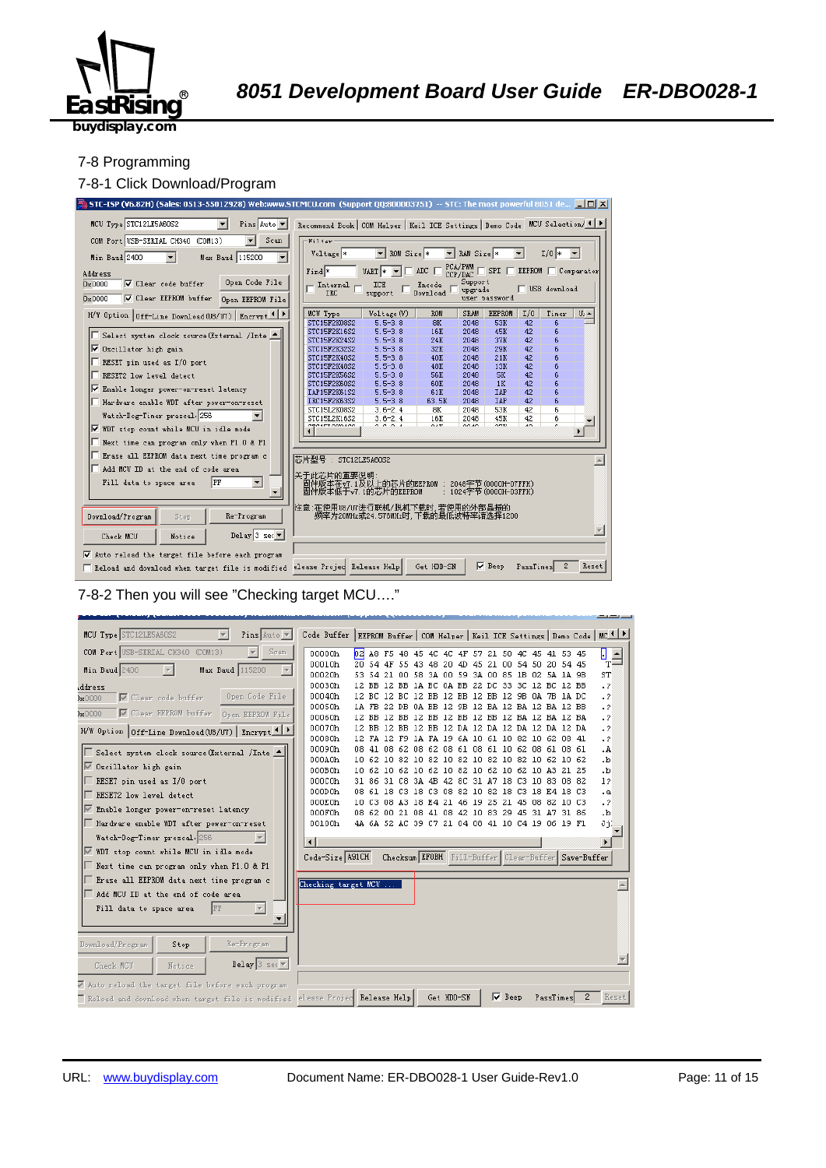![](_page_10_Picture_0.jpeg)

#### 7-8 Programming

#### 7-8-1 Click Download/Program

![](_page_10_Figure_5.jpeg)

#### 7-8-2 Then you will see "Checking target MCU…."

![](_page_10_Figure_7.jpeg)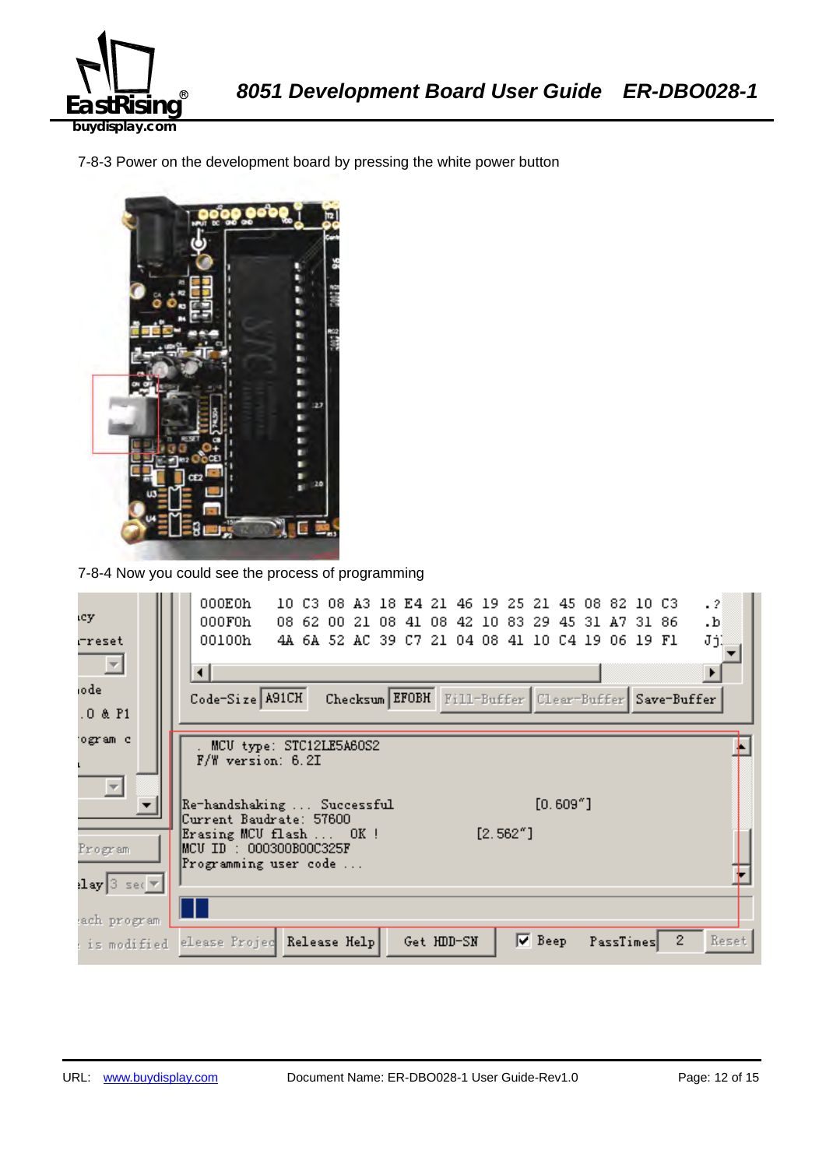![](_page_11_Picture_0.jpeg)

7-8-3 Power on the development board by pressing the white power button

![](_page_11_Picture_3.jpeg)

7-8-4 Now you could see the process of programming

| ιcy                                                                 | 000E0h<br>$\cdot$ 2<br>10 C3 08 A3 18 E4 21 46 19 25 21 45 08 82 10 C3<br>000F0h<br>08 62 00 21 08 41 08 42 10 83 29 45 31 A7 31 86<br>$\cdot$ <sub>b</sub> |
|---------------------------------------------------------------------|-------------------------------------------------------------------------------------------------------------------------------------------------------------|
| rreset<br>$\Box$                                                    | 00100h<br>JjĮ<br>4A 6A 52 AC 39 C7 21 04 08 41 10 C4 19 06 19 F1<br>⊣                                                                                       |
| iodel<br>.0 & P1                                                    | Code-Size A91CH<br>Checksum EFOBH Fill-Buffer Clear-Buffer Save-Buffer                                                                                      |
| ogram c                                                             | MCU type: STC12LE5A60S2<br><b>F/W</b> version: 6.2I                                                                                                         |
| $\overline{\phantom{m}}$                                            | $[0.609"$ ]<br>Re-handshaking  Successful<br>Current Baudrate: 57600<br>$[2.562"$ ]<br>Erasing MCU flash  OK!                                               |
| Program                                                             | MCU ID : 000300B00C325F<br>Programming user code                                                                                                            |
| $\lceil \log  3 \rceil$ sec $\lceil \sqrt{n} \rceil$<br>ach program |                                                                                                                                                             |
| : is modified                                                       | $\nabla$ Beep<br>$\mathbf{2}^-$<br>Reset<br>elease Projec Release Help<br>Get HDD-SN<br>PassTimes                                                           |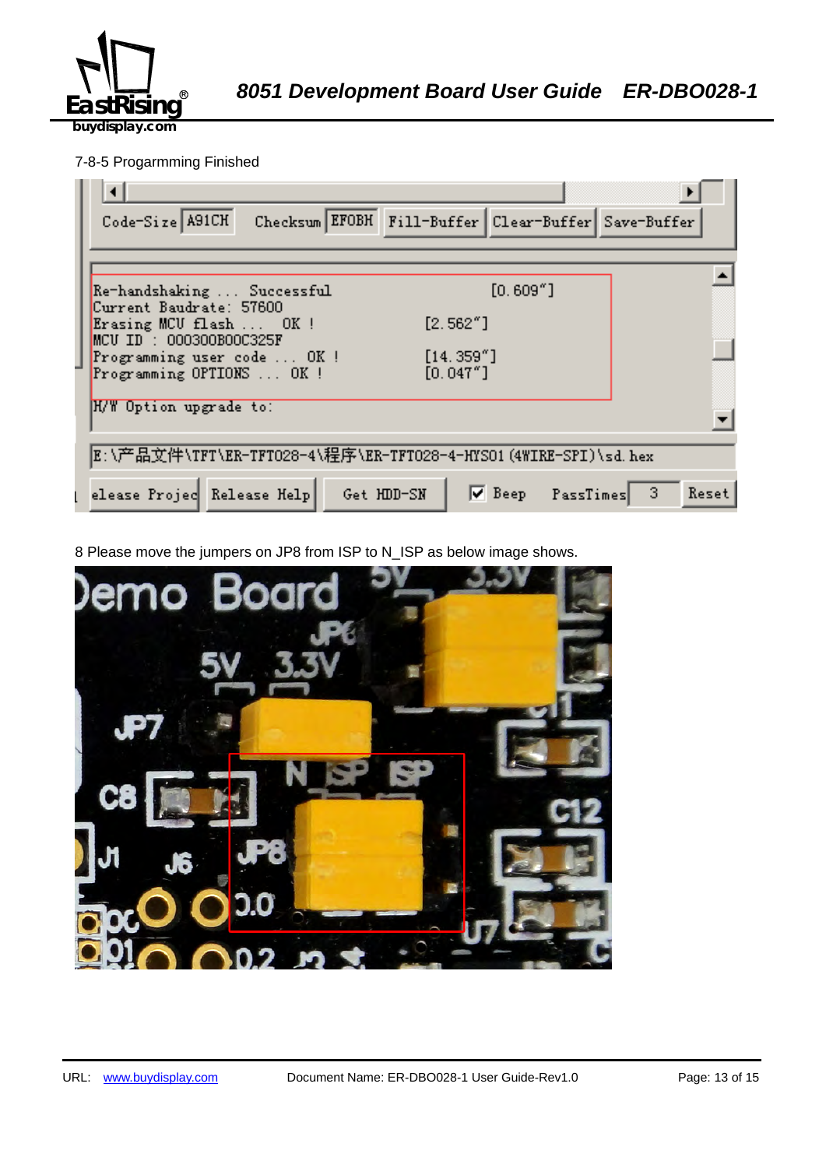![](_page_12_Picture_0.jpeg)

## 7-8-5 Progarmming Finished

| Checksum EFOBH Fill-Buffer Clear-Buffer Save-Buffer<br>Code-Size A91CH             |
|------------------------------------------------------------------------------------|
|                                                                                    |
| $[0.609"$ ]<br>Re-handshaking  Successful<br>Current Baudrate: 57600               |
| [2.562"]<br>Erasing MCU flash  OK!<br>$MCU$ ID : 000300B00C325F                    |
| [14.359'']<br>Programming user code  OK !<br>[0.047"]<br>Programming OPTIONS  OK ! |
| H/W Option upgrade to:                                                             |
| E:\产品文件\TFT\ER-TFT028-4\程序\ER-TFT028-4-HYSO1(4WIRE-SPI)\sd.hex                     |
| $\nabla$ Beep PassTimes 3<br>elease Projec Release Help<br>Get HDD-SN<br>Reset     |

8 Please move the jumpers on JP8 from ISP to N\_ISP as below image shows.

![](_page_12_Picture_6.jpeg)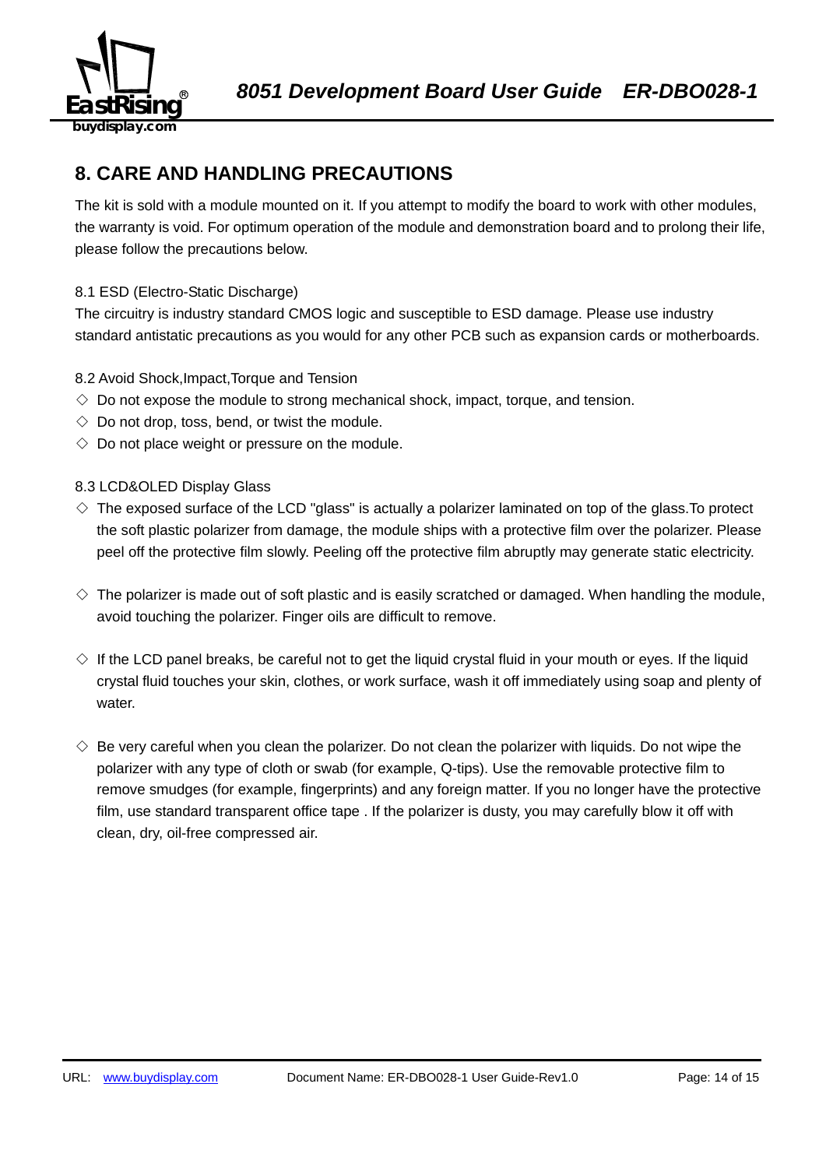![](_page_13_Picture_0.jpeg)

## **8. CARE AND HANDLING PRECAUTIONS**

The kit is sold with a module mounted on it. If you attempt to modify the board to work with other modules, the warranty is void. For optimum operation of the module and demonstration board and to prolong their life, please follow the precautions below.

## 8.1 ESD (Electro-Static Discharge)

The circuitry is industry standard CMOS logic and susceptible to ESD damage. Please use industry standard antistatic precautions as you would for any other PCB such as expansion cards or motherboards.

## 8.2 Avoid Shock,Impact,Torque and Tension

- $\Diamond$  Do not expose the module to strong mechanical shock, impact, torque, and tension.
- $\Diamond$  Do not drop, toss, bend, or twist the module.
- $\Diamond$  Do not place weight or pressure on the module.

## 8.3 LCD&OLED Display Glass

- $\diamond$  The exposed surface of the LCD "glass" is actually a polarizer laminated on top of the glass. To protect the soft plastic polarizer from damage, the module ships with a protective film over the polarizer. Please peel off the protective film slowly. Peeling off the protective film abruptly may generate static electricity.
- $\diamond$  The polarizer is made out of soft plastic and is easily scratched or damaged. When handling the module, avoid touching the polarizer. Finger oils are difficult to remove.
- $\Diamond$  If the LCD panel breaks, be careful not to get the liquid crystal fluid in your mouth or eyes. If the liquid crystal fluid touches your skin, clothes, or work surface, wash it off immediately using soap and plenty of water.
- $\diamondsuit$  Be very careful when you clean the polarizer. Do not clean the polarizer with liquids. Do not wipe the polarizer with any type of cloth or swab (for example, Q-tips). Use the removable protective film to remove smudges (for example, fingerprints) and any foreign matter. If you no longer have the protective film, use standard transparent office tape . If the polarizer is dusty, you may carefully blow it off with clean, dry, oil-free compressed air.